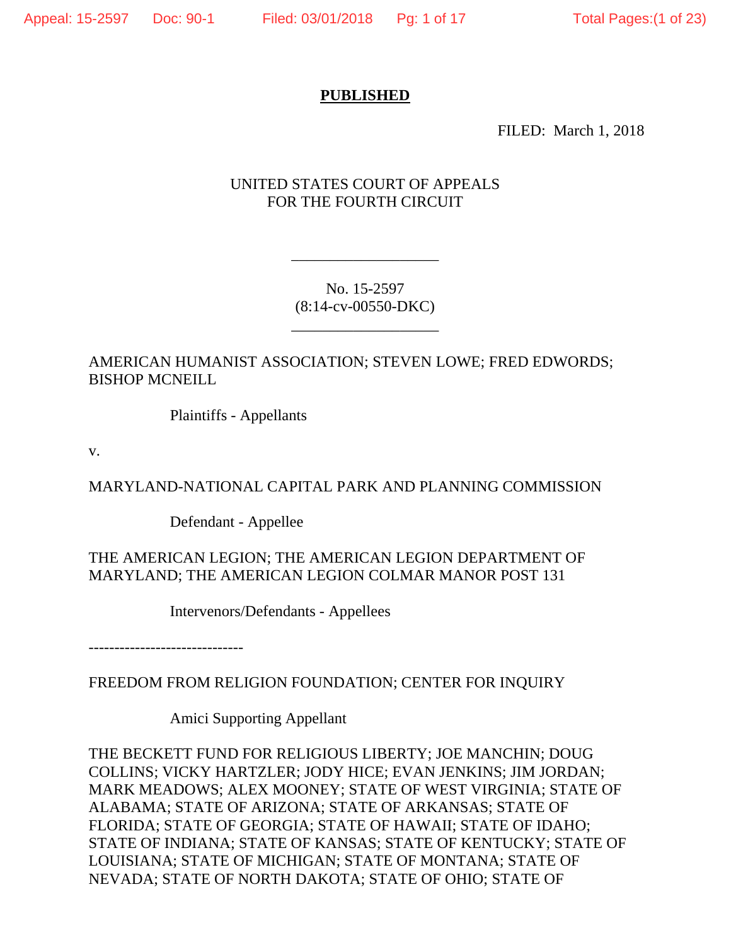#### **PUBLISHED**

FILED: March 1, 2018

### UNITED STATES COURT OF APPEALS FOR THE FOURTH CIRCUIT

No. 15-2597 (8:14-cv-00550-DKC)

\_\_\_\_\_\_\_\_\_\_\_\_\_\_\_\_\_\_\_

\_\_\_\_\_\_\_\_\_\_\_\_\_\_\_\_\_\_\_

AMERICAN HUMANIST ASSOCIATION; STEVEN LOWE; FRED EDWORDS; BISHOP MCNEILL

Plaintiffs - Appellants

v.

MARYLAND-NATIONAL CAPITAL PARK AND PLANNING COMMISSION

Defendant - Appellee

THE AMERICAN LEGION; THE AMERICAN LEGION DEPARTMENT OF MARYLAND; THE AMERICAN LEGION COLMAR MANOR POST 131

Intervenors/Defendants - Appellees

------------------------------

FREEDOM FROM RELIGION FOUNDATION; CENTER FOR INQUIRY

Amici Supporting Appellant

THE BECKETT FUND FOR RELIGIOUS LIBERTY; JOE MANCHIN; DOUG COLLINS; VICKY HARTZLER; JODY HICE; EVAN JENKINS; JIM JORDAN; MARK MEADOWS; ALEX MOONEY; STATE OF WEST VIRGINIA; STATE OF ALABAMA; STATE OF ARIZONA; STATE OF ARKANSAS; STATE OF FLORIDA; STATE OF GEORGIA; STATE OF HAWAII; STATE OF IDAHO; STATE OF INDIANA; STATE OF KANSAS; STATE OF KENTUCKY; STATE OF LOUISIANA; STATE OF MICHIGAN; STATE OF MONTANA; STATE OF NEVADA; STATE OF NORTH DAKOTA; STATE OF OHIO; STATE OF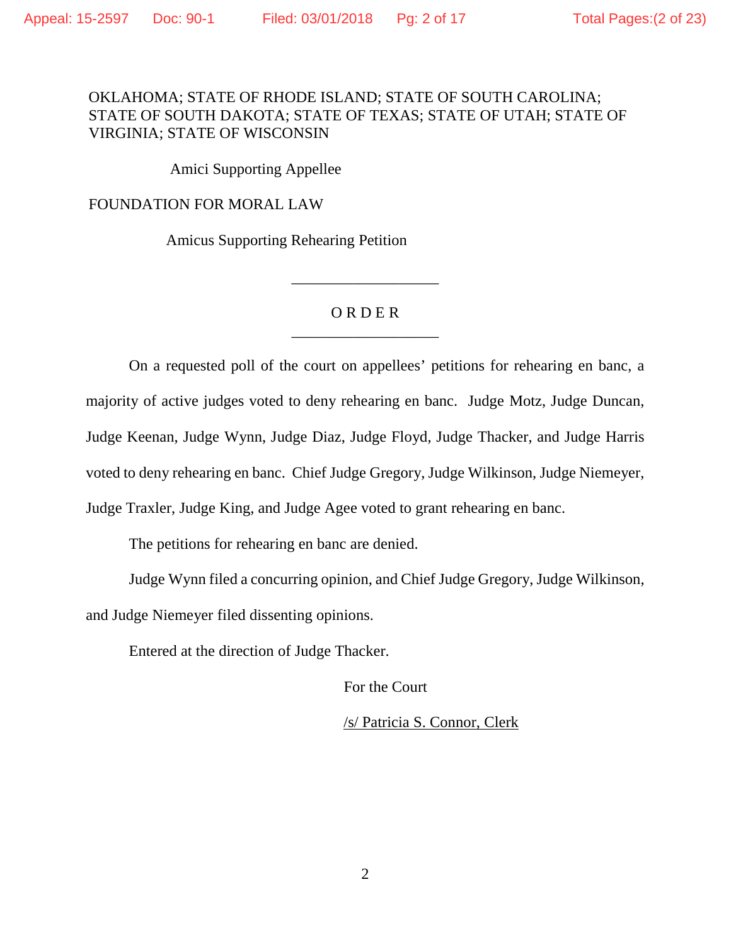# OKLAHOMA; STATE OF RHODE ISLAND; STATE OF SOUTH CAROLINA; STATE OF SOUTH DAKOTA; STATE OF TEXAS; STATE OF UTAH; STATE OF VIRGINIA; STATE OF WISCONSIN

Amici Supporting Appellee

FOUNDATION FOR MORAL LAW

Amicus Supporting Rehearing Petition

# O R D E R \_\_\_\_\_\_\_\_\_\_\_\_\_\_\_\_\_\_\_

\_\_\_\_\_\_\_\_\_\_\_\_\_\_\_\_\_\_\_

On a requested poll of the court on appellees' petitions for rehearing en banc, a majority of active judges voted to deny rehearing en banc. Judge Motz, Judge Duncan, Judge Keenan, Judge Wynn, Judge Diaz, Judge Floyd, Judge Thacker, and Judge Harris voted to deny rehearing en banc. Chief Judge Gregory, Judge Wilkinson, Judge Niemeyer, Judge Traxler, Judge King, and Judge Agee voted to grant rehearing en banc.

The petitions for rehearing en banc are denied.

Judge Wynn filed a concurring opinion, and Chief Judge Gregory, Judge Wilkinson, and Judge Niemeyer filed dissenting opinions.

Entered at the direction of Judge Thacker.

For the Court

/s/ Patricia S. Connor, Clerk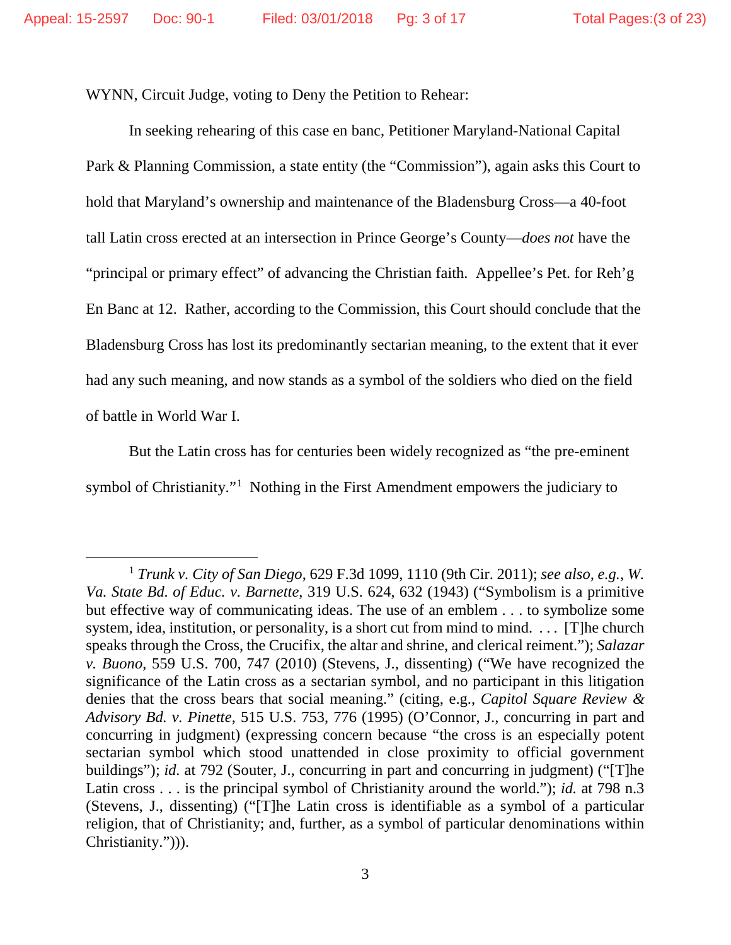WYNN, Circuit Judge, voting to Deny the Petition to Rehear:

In seeking rehearing of this case en banc, Petitioner Maryland-National Capital Park & Planning Commission, a state entity (the "Commission"), again asks this Court to hold that Maryland's ownership and maintenance of the Bladensburg Cross—a 40-foot tall Latin cross erected at an intersection in Prince George's County—*does not* have the "principal or primary effect" of advancing the Christian faith. Appellee's Pet. for Reh'g En Banc at 12. Rather, according to the Commission, this Court should conclude that the Bladensburg Cross has lost its predominantly sectarian meaning, to the extent that it ever had any such meaning, and now stands as a symbol of the soldiers who died on the field of battle in World War I.

But the Latin cross has for centuries been widely recognized as "the pre-eminent symbol of Christianity."<sup>1</sup> Nothing in the First Amendment empowers the judiciary to

<span id="page-2-0"></span> <sup>1</sup> *Trunk v. City of San Diego*, 629 F.3d 1099, 1110 (9th Cir. 2011); *see also, e.g.*, *W. Va. State Bd. of Educ. v. Barnette*, 319 U.S. 624, 632 (1943) ("Symbolism is a primitive but effective way of communicating ideas. The use of an emblem . . . to symbolize some system, idea, institution, or personality, is a short cut from mind to mind. . . . [T]he church speaks through the Cross, the Crucifix, the altar and shrine, and clerical reiment."); *Salazar v. Buono*, 559 U.S. 700, 747 (2010) (Stevens, J., dissenting) ("We have recognized the significance of the Latin cross as a sectarian symbol, and no participant in this litigation denies that the cross bears that social meaning." (citing, e.g., *Capitol Square Review & Advisory Bd. v. Pinette*, 515 U.S. 753, 776 (1995) (O'Connor, J., concurring in part and concurring in judgment) (expressing concern because "the cross is an especially potent sectarian symbol which stood unattended in close proximity to official government buildings"); *id.* at 792 (Souter, J., concurring in part and concurring in judgment) ("[T]he Latin cross . . . is the principal symbol of Christianity around the world."); *id.* at 798 n.3 (Stevens, J., dissenting) ("[T]he Latin cross is identifiable as a symbol of a particular religion, that of Christianity; and, further, as a symbol of particular denominations within Christianity."))).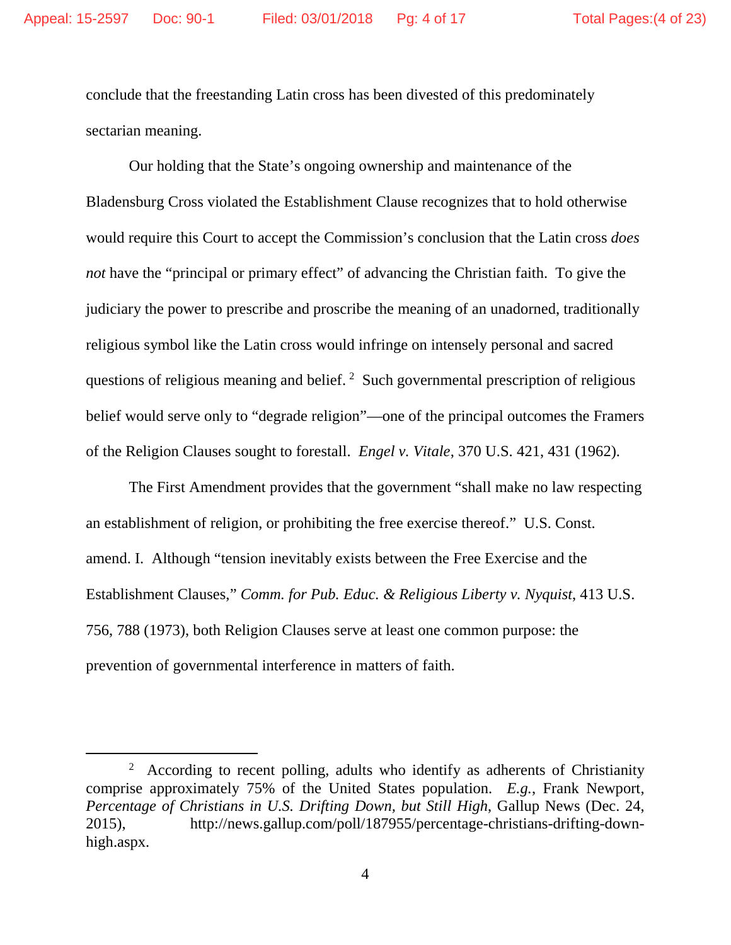conclude that the freestanding Latin cross has been divested of this predominately sectarian meaning.

Our holding that the State's ongoing ownership and maintenance of the Bladensburg Cross violated the Establishment Clause recognizes that to hold otherwise would require this Court to accept the Commission's conclusion that the Latin cross *does not* have the "principal or primary effect" of advancing the Christian faith. To give the judiciary the power to prescribe and proscribe the meaning of an unadorned, traditionally religious symbol like the Latin cross would infringe on intensely personal and sacred questions of religious meaning and belief. <sup>[2](#page-3-0)</sup> Such governmental prescription of religious belief would serve only to "degrade religion"—one of the principal outcomes the Framers of the Religion Clauses sought to forestall. *Engel v. Vitale*, 370 U.S. 421, 431 (1962).

The First Amendment provides that the government "shall make no law respecting an establishment of religion, or prohibiting the free exercise thereof." U.S. Const. amend. I. Although "tension inevitably exists between the Free Exercise and the Establishment Clauses," *Comm. for Pub. Educ. & Religious Liberty v. Nyquist*, 413 U.S. 756, 788 (1973), both Religion Clauses serve at least one common purpose: the prevention of governmental interference in matters of faith.

<span id="page-3-0"></span> <sup>2</sup> <sup>2</sup> According to recent polling, adults who identify as adherents of Christianity comprise approximately 75% of the United States population. *E.g.*, Frank Newport, *Percentage of Christians in U.S. Drifting Down, but Still High*, Gallup News (Dec. 24, 2015), http://news.gallup.com/poll/187955/percentage-christians-drifting-downhigh.aspx.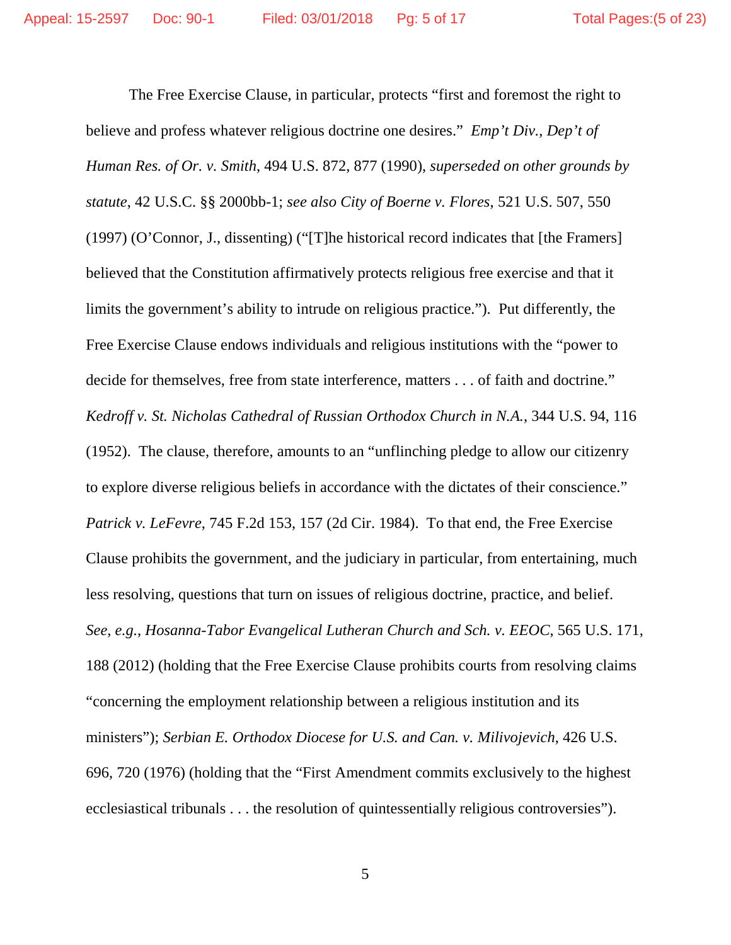The Free Exercise Clause, in particular, protects "first and foremost the right to believe and profess whatever religious doctrine one desires." *Emp't Div., Dep't of Human Res. of Or. v. Smith*, 494 U.S. 872, 877 (1990), *superseded on other grounds by statute*, 42 U.S.C. §§ 2000bb-1; *see also City of Boerne v. Flores*, 521 U.S. 507, 550 (1997) (O'Connor, J., dissenting) ("[T]he historical record indicates that [the Framers] believed that the Constitution affirmatively protects religious free exercise and that it limits the government's ability to intrude on religious practice."). Put differently, the Free Exercise Clause endows individuals and religious institutions with the "power to decide for themselves, free from state interference, matters . . . of faith and doctrine." *Kedroff v. St. Nicholas Cathedral of Russian Orthodox Church in N.A.*, 344 U.S. 94, 116 (1952). The clause, therefore, amounts to an "unflinching pledge to allow our citizenry to explore diverse religious beliefs in accordance with the dictates of their conscience." *Patrick v. LeFevre*, 745 F.2d 153, 157 (2d Cir. 1984). To that end, the Free Exercise Clause prohibits the government, and the judiciary in particular, from entertaining, much less resolving, questions that turn on issues of religious doctrine, practice, and belief. *See, e.g.*, *Hosanna-Tabor Evangelical Lutheran Church and Sch. v. EEOC*, 565 U.S. 171, 188 (2012) (holding that the Free Exercise Clause prohibits courts from resolving claims "concerning the employment relationship between a religious institution and its ministers"); *Serbian E. Orthodox Diocese for U.S. and Can. v. Milivojevich*, 426 U.S. 696, 720 (1976) (holding that the "First Amendment commits exclusively to the highest ecclesiastical tribunals . . . the resolution of quintessentially religious controversies").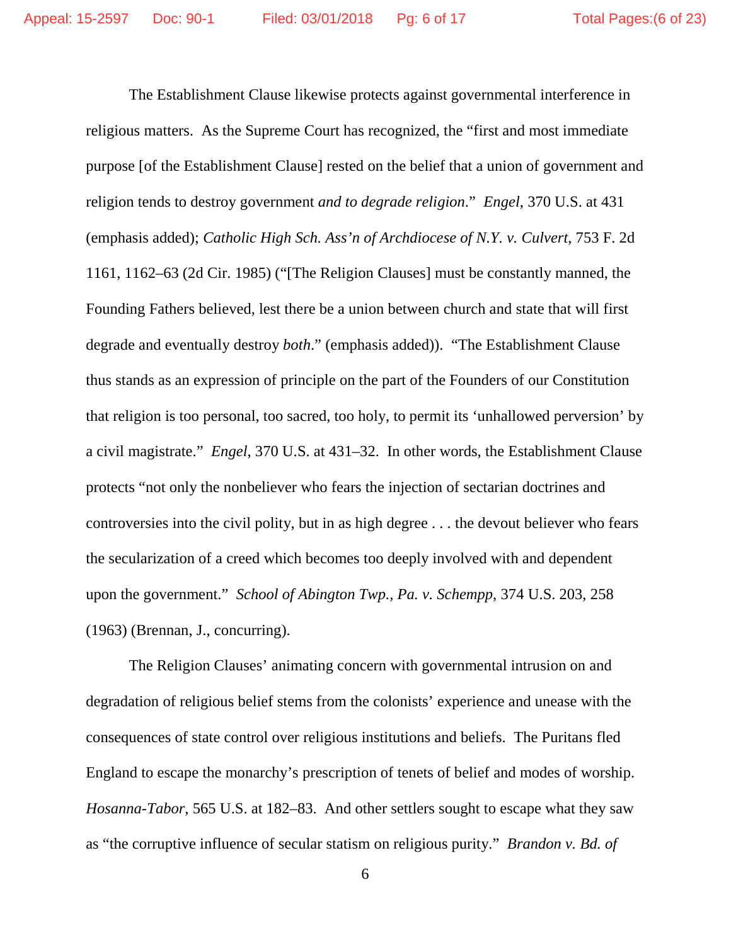The Establishment Clause likewise protects against governmental interference in religious matters. As the Supreme Court has recognized, the "first and most immediate purpose [of the Establishment Clause] rested on the belief that a union of government and religion tends to destroy government *and to degrade religion*." *Engel*, 370 U.S. at 431 (emphasis added); *Catholic High Sch. Ass'n of Archdiocese of N.Y. v. Culvert*, 753 F. 2d 1161, 1162–63 (2d Cir. 1985) ("[The Religion Clauses] must be constantly manned, the Founding Fathers believed, lest there be a union between church and state that will first degrade and eventually destroy *both*." (emphasis added)). "The Establishment Clause thus stands as an expression of principle on the part of the Founders of our Constitution that religion is too personal, too sacred, too holy, to permit its 'unhallowed perversion' by a civil magistrate." *Engel*, 370 U.S. at 431–32. In other words, the Establishment Clause protects "not only the nonbeliever who fears the injection of sectarian doctrines and controversies into the civil polity, but in as high degree . . . the devout believer who fears the secularization of a creed which becomes too deeply involved with and dependent upon the government." *School of Abington Twp., Pa. v. Schempp*, 374 U.S. 203, 258 (1963) (Brennan, J., concurring).

The Religion Clauses' animating concern with governmental intrusion on and degradation of religious belief stems from the colonists' experience and unease with the consequences of state control over religious institutions and beliefs. The Puritans fled England to escape the monarchy's prescription of tenets of belief and modes of worship. *Hosanna-Tabor*, 565 U.S. at 182–83. And other settlers sought to escape what they saw as "the corruptive influence of secular statism on religious purity." *Brandon v. Bd. of*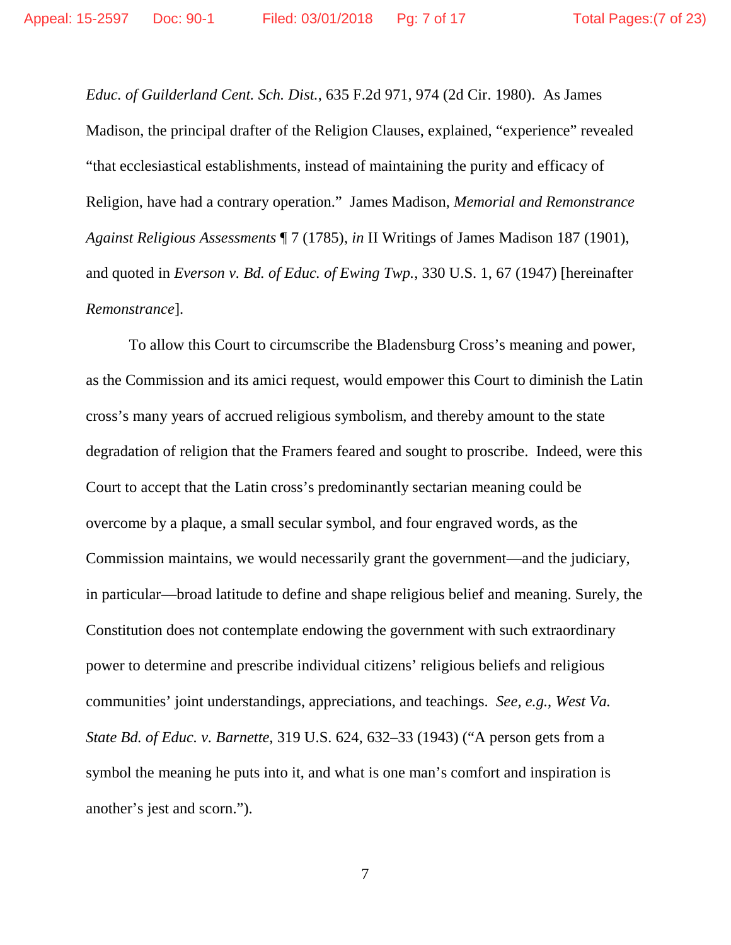*Educ. of Guilderland Cent. Sch. Dist.*, 635 F.2d 971, 974 (2d Cir. 1980). As James Madison, the principal drafter of the Religion Clauses, explained, "experience" revealed "that ecclesiastical establishments, instead of maintaining the purity and efficacy of Religion, have had a contrary operation." James Madison, *Memorial and Remonstrance Against Religious Assessments* ¶ 7 (1785), *in* II Writings of James Madison 187 (1901), and quoted in *Everson v. Bd. of Educ. of Ewing Twp.*, 330 U.S. 1, 67 (1947) [hereinafter *Remonstrance*].

To allow this Court to circumscribe the Bladensburg Cross's meaning and power, as the Commission and its amici request, would empower this Court to diminish the Latin cross's many years of accrued religious symbolism, and thereby amount to the state degradation of religion that the Framers feared and sought to proscribe. Indeed, were this Court to accept that the Latin cross's predominantly sectarian meaning could be overcome by a plaque, a small secular symbol, and four engraved words, as the Commission maintains, we would necessarily grant the government—and the judiciary, in particular—broad latitude to define and shape religious belief and meaning. Surely, the Constitution does not contemplate endowing the government with such extraordinary power to determine and prescribe individual citizens' religious beliefs and religious communities' joint understandings, appreciations, and teachings. *See, e.g.*, *West Va. State Bd. of Educ. v. Barnette*, 319 U.S. 624, 632–33 (1943) ("A person gets from a symbol the meaning he puts into it, and what is one man's comfort and inspiration is another's jest and scorn.").

7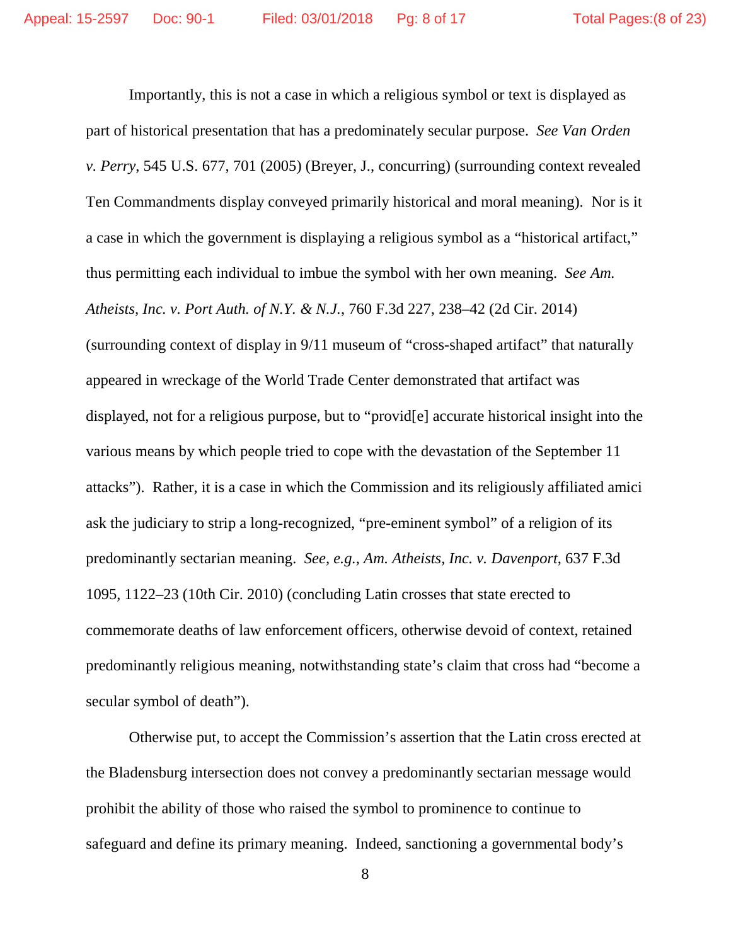Importantly, this is not a case in which a religious symbol or text is displayed as part of historical presentation that has a predominately secular purpose. *See Van Orden v. Perry*, 545 U.S. 677, 701 (2005) (Breyer, J., concurring) (surrounding context revealed Ten Commandments display conveyed primarily historical and moral meaning). Nor is it a case in which the government is displaying a religious symbol as a "historical artifact," thus permitting each individual to imbue the symbol with her own meaning. *See Am. Atheists, Inc. v. Port Auth. of N.Y. & N.J.*, 760 F.3d 227, 238–42 (2d Cir. 2014) (surrounding context of display in 9/11 museum of "cross-shaped artifact" that naturally appeared in wreckage of the World Trade Center demonstrated that artifact was displayed, not for a religious purpose, but to "provid[e] accurate historical insight into the various means by which people tried to cope with the devastation of the September 11 attacks"). Rather, it is a case in which the Commission and its religiously affiliated amici ask the judiciary to strip a long-recognized, "pre-eminent symbol" of a religion of its predominantly sectarian meaning. *See, e.g.*, *Am. Atheists, Inc. v. Davenport*, 637 F.3d 1095, 1122–23 (10th Cir. 2010) (concluding Latin crosses that state erected to commemorate deaths of law enforcement officers, otherwise devoid of context, retained predominantly religious meaning, notwithstanding state's claim that cross had "become a secular symbol of death").

Otherwise put, to accept the Commission's assertion that the Latin cross erected at the Bladensburg intersection does not convey a predominantly sectarian message would prohibit the ability of those who raised the symbol to prominence to continue to safeguard and define its primary meaning. Indeed, sanctioning a governmental body's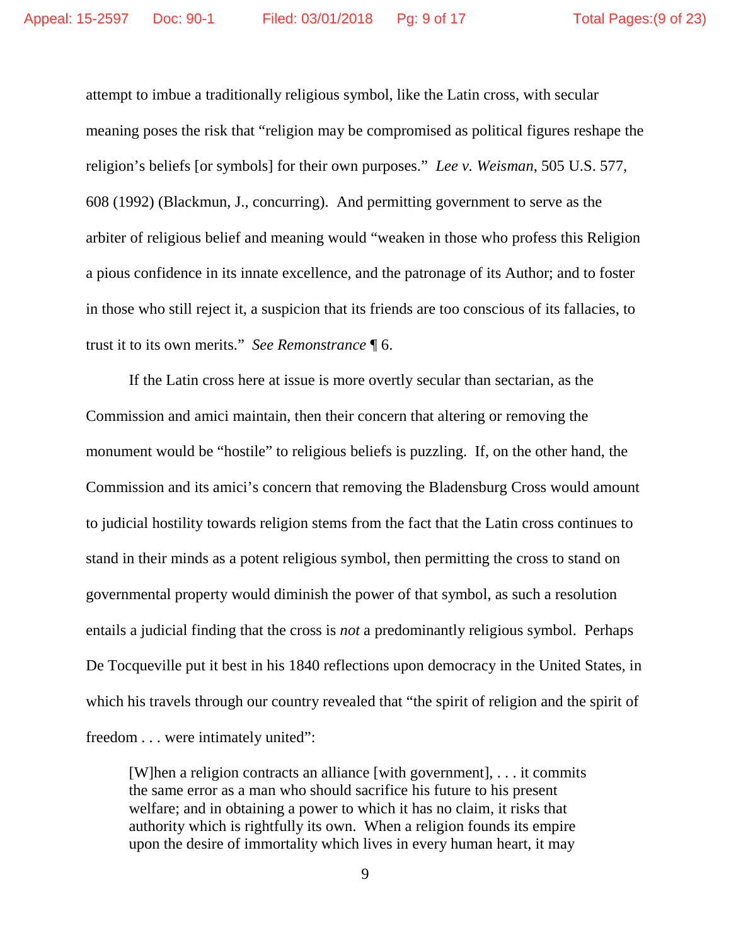attempt to imbue a traditionally religious symbol, like the Latin cross, with secular meaning poses the risk that "religion may be compromised as political figures reshape the religion's beliefs [or symbols] for their own purposes." *Lee v. Weisman*, 505 U.S. 577, 608 (1992) (Blackmun, J., concurring). And permitting government to serve as the arbiter of religious belief and meaning would "weaken in those who profess this Religion a pious confidence in its innate excellence, and the patronage of its Author; and to foster in those who still reject it, a suspicion that its friends are too conscious of its fallacies, to trust it to its own merits." *See Remonstrance* ¶ 6.

If the Latin cross here at issue is more overtly secular than sectarian, as the Commission and amici maintain, then their concern that altering or removing the monument would be "hostile" to religious beliefs is puzzling. If, on the other hand, the Commission and its amici's concern that removing the Bladensburg Cross would amount to judicial hostility towards religion stems from the fact that the Latin cross continues to stand in their minds as a potent religious symbol, then permitting the cross to stand on governmental property would diminish the power of that symbol, as such a resolution entails a judicial finding that the cross is *not* a predominantly religious symbol. Perhaps De Tocqueville put it best in his 1840 reflections upon democracy in the United States, in which his travels through our country revealed that "the spirit of religion and the spirit of freedom . . . were intimately united":

[W]hen a religion contracts an alliance [with government], . . . it commits the same error as a man who should sacrifice his future to his present welfare; and in obtaining a power to which it has no claim, it risks that authority which is rightfully its own. When a religion founds its empire upon the desire of immortality which lives in every human heart, it may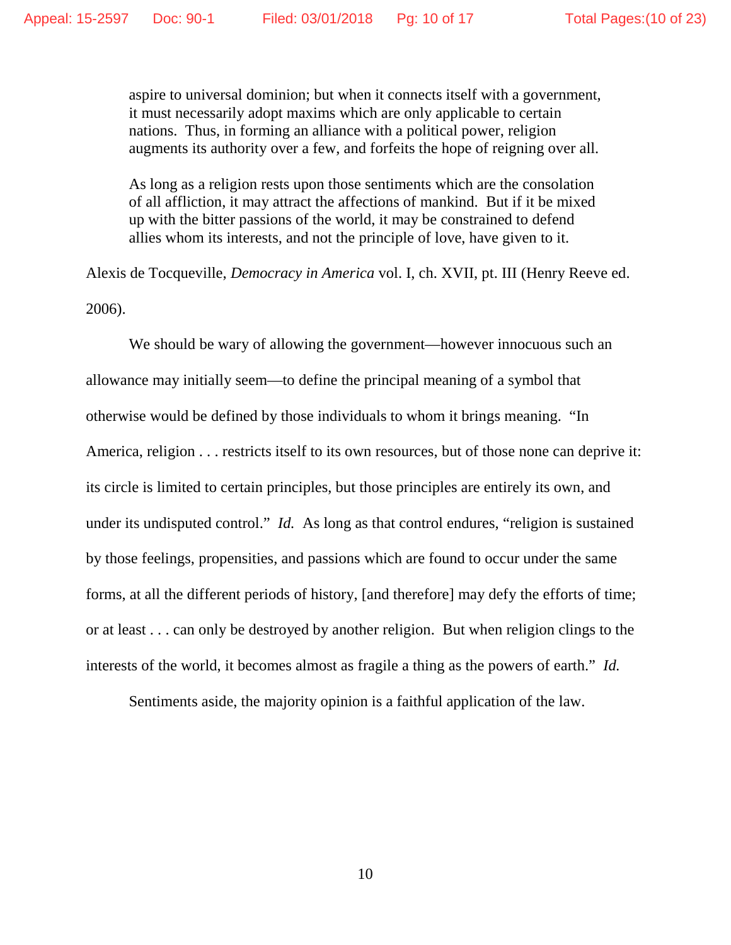aspire to universal dominion; but when it connects itself with a government, it must necessarily adopt maxims which are only applicable to certain nations. Thus, in forming an alliance with a political power, religion augments its authority over a few, and forfeits the hope of reigning over all.

As long as a religion rests upon those sentiments which are the consolation of all affliction, it may attract the affections of mankind. But if it be mixed up with the bitter passions of the world, it may be constrained to defend allies whom its interests, and not the principle of love, have given to it.

Alexis de Tocqueville, *Democracy in America* vol. I, ch. XVII, pt. III (Henry Reeve ed. 2006).

We should be wary of allowing the government—however innocuous such an allowance may initially seem—to define the principal meaning of a symbol that otherwise would be defined by those individuals to whom it brings meaning. "In America, religion . . . restricts itself to its own resources, but of those none can deprive it: its circle is limited to certain principles, but those principles are entirely its own, and under its undisputed control." *Id.* As long as that control endures, "religion is sustained by those feelings, propensities, and passions which are found to occur under the same forms, at all the different periods of history, [and therefore] may defy the efforts of time; or at least . . . can only be destroyed by another religion. But when religion clings to the interests of the world, it becomes almost as fragile a thing as the powers of earth." *Id.*

Sentiments aside, the majority opinion is a faithful application of the law.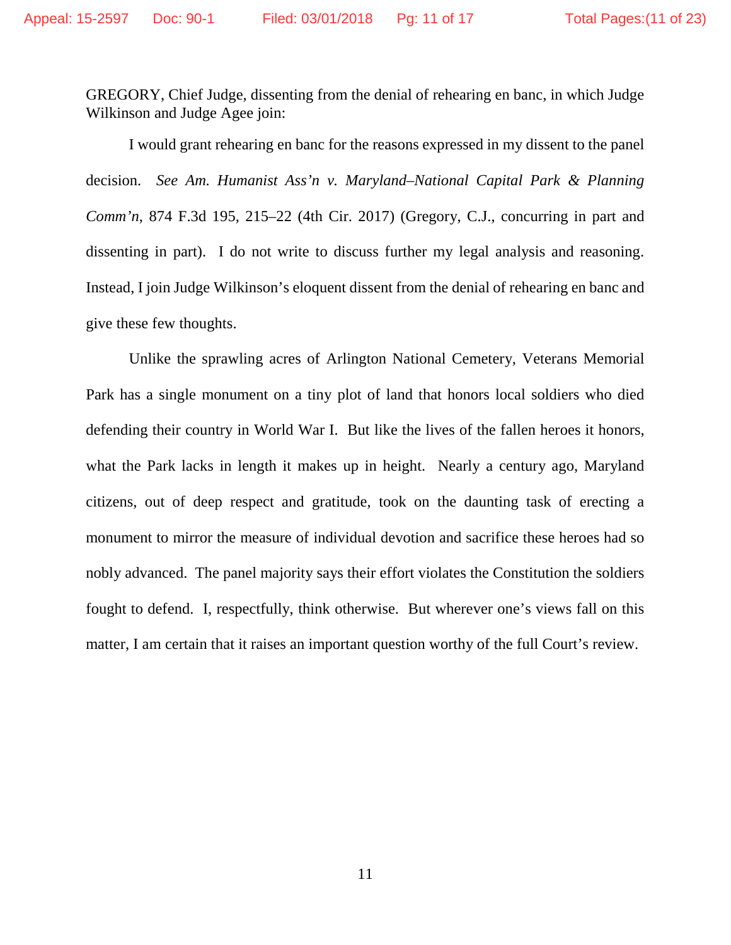GREGORY, Chief Judge, dissenting from the denial of rehearing en banc, in which Judge Wilkinson and Judge Agee join:

I would grant rehearing en banc for the reasons expressed in my dissent to the panel decision. *See Am. Humanist Ass'n v. Maryland–National Capital Park & Planning Comm'n*, 874 F.3d 195, 215–22 (4th Cir. 2017) (Gregory, C.J., concurring in part and dissenting in part). I do not write to discuss further my legal analysis and reasoning. Instead, I join Judge Wilkinson's eloquent dissent from the denial of rehearing en banc and give these few thoughts.

Unlike the sprawling acres of Arlington National Cemetery, Veterans Memorial Park has a single monument on a tiny plot of land that honors local soldiers who died defending their country in World War I. But like the lives of the fallen heroes it honors, what the Park lacks in length it makes up in height. Nearly a century ago, Maryland citizens, out of deep respect and gratitude, took on the daunting task of erecting a monument to mirror the measure of individual devotion and sacrifice these heroes had so nobly advanced. The panel majority says their effort violates the Constitution the soldiers fought to defend. I, respectfully, think otherwise. But wherever one's views fall on this matter, I am certain that it raises an important question worthy of the full Court's review.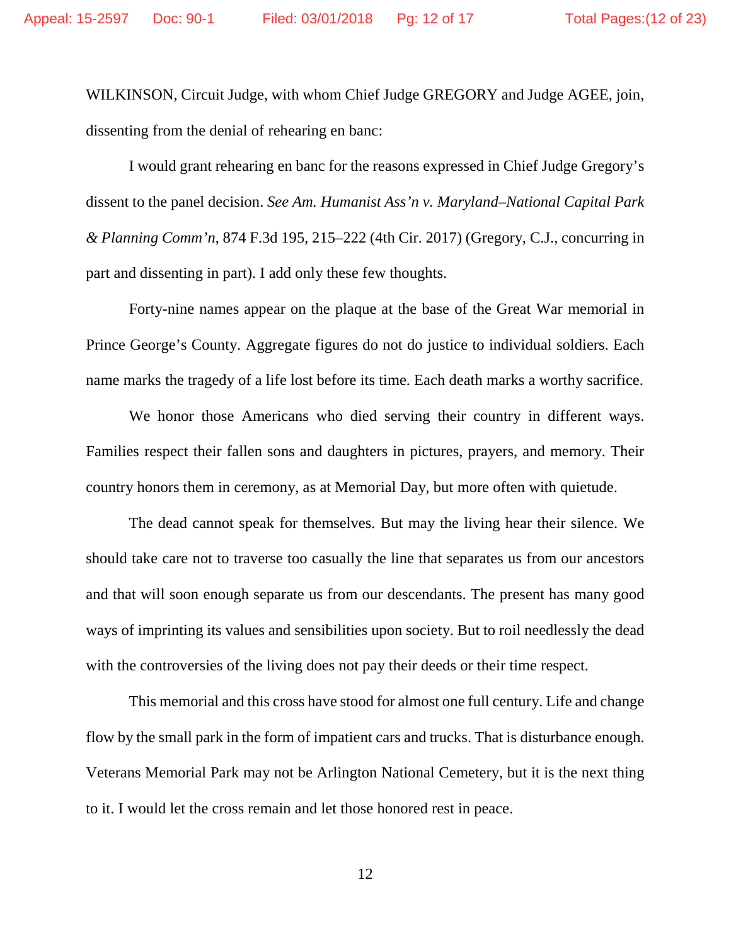WILKINSON, Circuit Judge, with whom Chief Judge GREGORY and Judge AGEE, join, dissenting from the denial of rehearing en banc:

I would grant rehearing en banc for the reasons expressed in Chief Judge Gregory's dissent to the panel decision. *See Am. Humanist Ass'n v. Maryland–National Capital Park & Planning Comm'n*, 874 F.3d 195, 215–222 (4th Cir. 2017) (Gregory, C.J., concurring in part and dissenting in part). I add only these few thoughts.

Forty-nine names appear on the plaque at the base of the Great War memorial in Prince George's County. Aggregate figures do not do justice to individual soldiers. Each name marks the tragedy of a life lost before its time. Each death marks a worthy sacrifice.

We honor those Americans who died serving their country in different ways. Families respect their fallen sons and daughters in pictures, prayers, and memory. Their country honors them in ceremony, as at Memorial Day, but more often with quietude.

The dead cannot speak for themselves. But may the living hear their silence. We should take care not to traverse too casually the line that separates us from our ancestors and that will soon enough separate us from our descendants. The present has many good ways of imprinting its values and sensibilities upon society. But to roil needlessly the dead with the controversies of the living does not pay their deeds or their time respect.

This memorial and this cross have stood for almost one full century. Life and change flow by the small park in the form of impatient cars and trucks. That is disturbance enough. Veterans Memorial Park may not be Arlington National Cemetery, but it is the next thing to it. I would let the cross remain and let those honored rest in peace.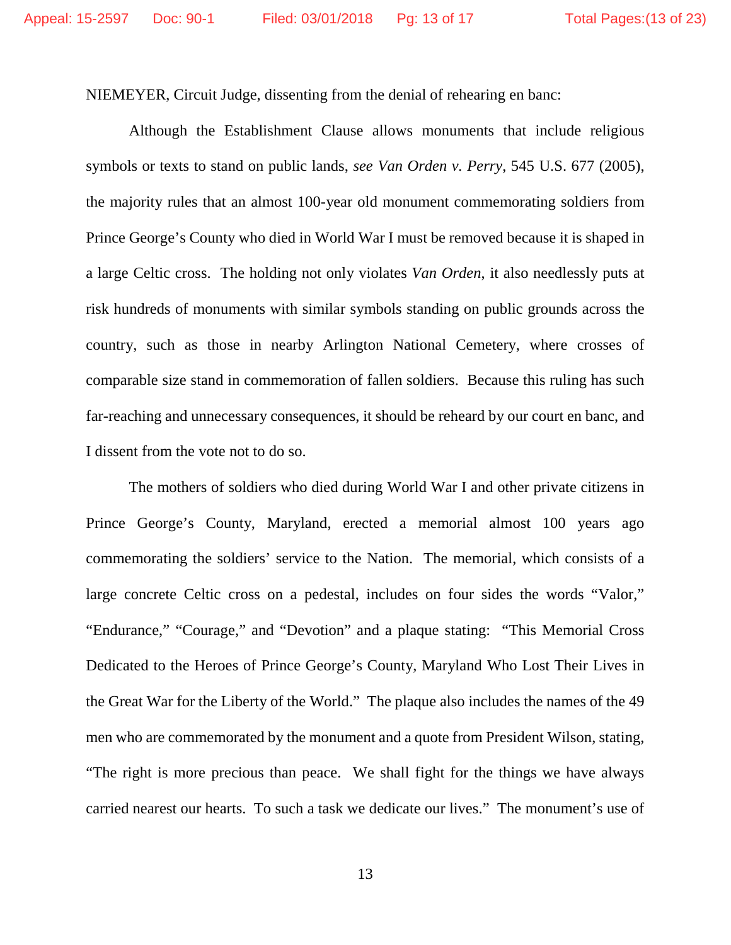NIEMEYER, Circuit Judge, dissenting from the denial of rehearing en banc:

Although the Establishment Clause allows monuments that include religious symbols or texts to stand on public lands, *see Van Orden v. Perry*, 545 U.S. 677 (2005), the majority rules that an almost 100-year old monument commemorating soldiers from Prince George's County who died in World War I must be removed because it is shaped in a large Celtic cross. The holding not only violates *Van Orden*, it also needlessly puts at risk hundreds of monuments with similar symbols standing on public grounds across the country, such as those in nearby Arlington National Cemetery, where crosses of comparable size stand in commemoration of fallen soldiers. Because this ruling has such far-reaching and unnecessary consequences, it should be reheard by our court en banc, and I dissent from the vote not to do so.

The mothers of soldiers who died during World War I and other private citizens in Prince George's County, Maryland, erected a memorial almost 100 years ago commemorating the soldiers' service to the Nation. The memorial, which consists of a large concrete Celtic cross on a pedestal, includes on four sides the words "Valor," "Endurance," "Courage," and "Devotion" and a plaque stating: "This Memorial Cross Dedicated to the Heroes of Prince George's County, Maryland Who Lost Their Lives in the Great War for the Liberty of the World." The plaque also includes the names of the 49 men who are commemorated by the monument and a quote from President Wilson, stating, "The right is more precious than peace. We shall fight for the things we have always carried nearest our hearts. To such a task we dedicate our lives." The monument's use of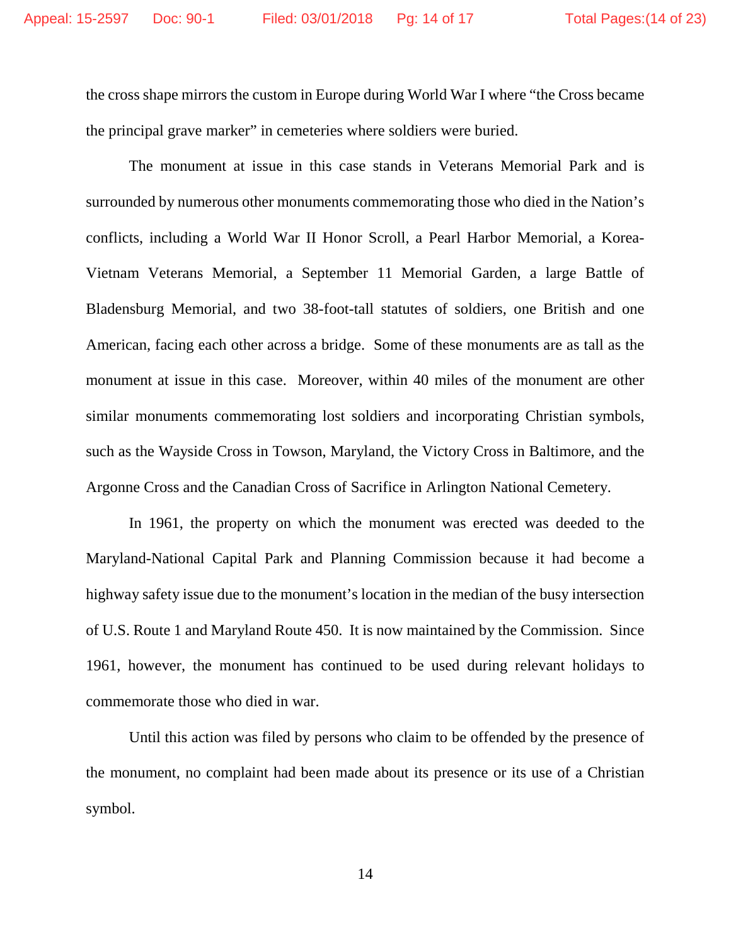the cross shape mirrors the custom in Europe during World War I where "the Cross became the principal grave marker" in cemeteries where soldiers were buried.

The monument at issue in this case stands in Veterans Memorial Park and is surrounded by numerous other monuments commemorating those who died in the Nation's conflicts, including a World War II Honor Scroll, a Pearl Harbor Memorial, a Korea-Vietnam Veterans Memorial, a September 11 Memorial Garden, a large Battle of Bladensburg Memorial, and two 38-foot-tall statutes of soldiers, one British and one American, facing each other across a bridge. Some of these monuments are as tall as the monument at issue in this case. Moreover, within 40 miles of the monument are other similar monuments commemorating lost soldiers and incorporating Christian symbols, such as the Wayside Cross in Towson, Maryland, the Victory Cross in Baltimore, and the Argonne Cross and the Canadian Cross of Sacrifice in Arlington National Cemetery.

In 1961, the property on which the monument was erected was deeded to the Maryland-National Capital Park and Planning Commission because it had become a highway safety issue due to the monument's location in the median of the busy intersection of U.S. Route 1 and Maryland Route 450. It is now maintained by the Commission. Since 1961, however, the monument has continued to be used during relevant holidays to commemorate those who died in war.

Until this action was filed by persons who claim to be offended by the presence of the monument, no complaint had been made about its presence or its use of a Christian symbol.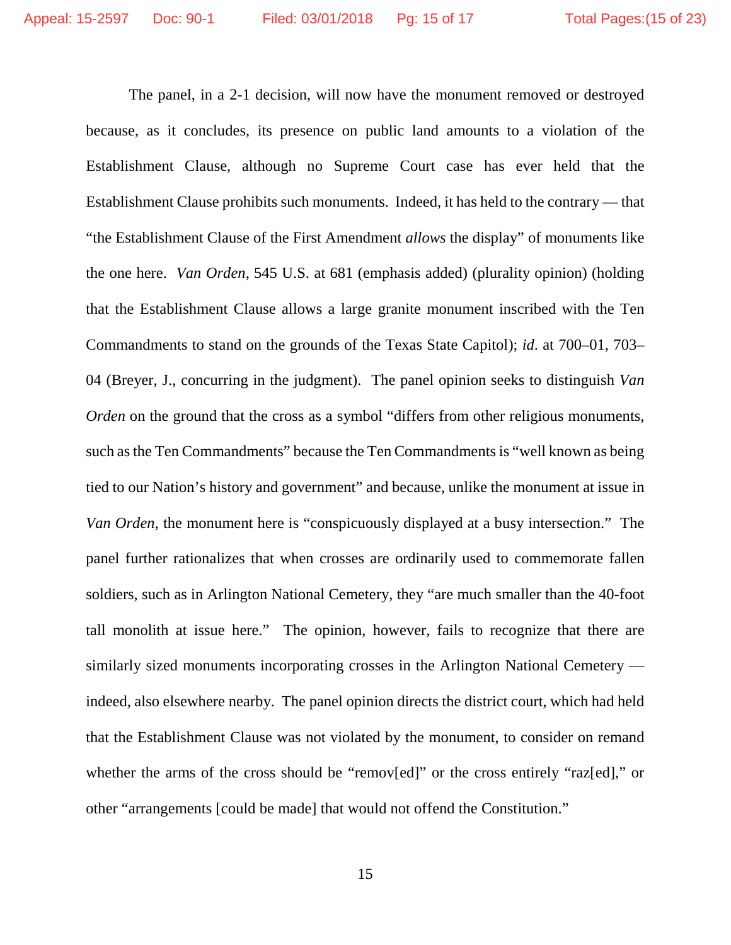The panel, in a 2-1 decision, will now have the monument removed or destroyed because, as it concludes, its presence on public land amounts to a violation of the Establishment Clause, although no Supreme Court case has ever held that the Establishment Clause prohibits such monuments. Indeed, it has held to the contrary — that "the Establishment Clause of the First Amendment *allows* the display" of monuments like the one here. *Van Orden*, 545 U.S. at 681 (emphasis added) (plurality opinion) (holding that the Establishment Clause allows a large granite monument inscribed with the Ten Commandments to stand on the grounds of the Texas State Capitol); *id*. at 700–01, 703– 04 (Breyer, J., concurring in the judgment). The panel opinion seeks to distinguish *Van Orden* on the ground that the cross as a symbol "differs from other religious monuments, such as the Ten Commandments" because the Ten Commandments is "well known as being tied to our Nation's history and government" and because, unlike the monument at issue in *Van Orden*, the monument here is "conspicuously displayed at a busy intersection." The panel further rationalizes that when crosses are ordinarily used to commemorate fallen soldiers, such as in Arlington National Cemetery, they "are much smaller than the 40-foot tall monolith at issue here." The opinion, however, fails to recognize that there are similarly sized monuments incorporating crosses in the Arlington National Cemetery indeed, also elsewhere nearby. The panel opinion directs the district court, which had held that the Establishment Clause was not violated by the monument, to consider on remand whether the arms of the cross should be "remov[ed]" or the cross entirely "raz[ed]," or other "arrangements [could be made] that would not offend the Constitution."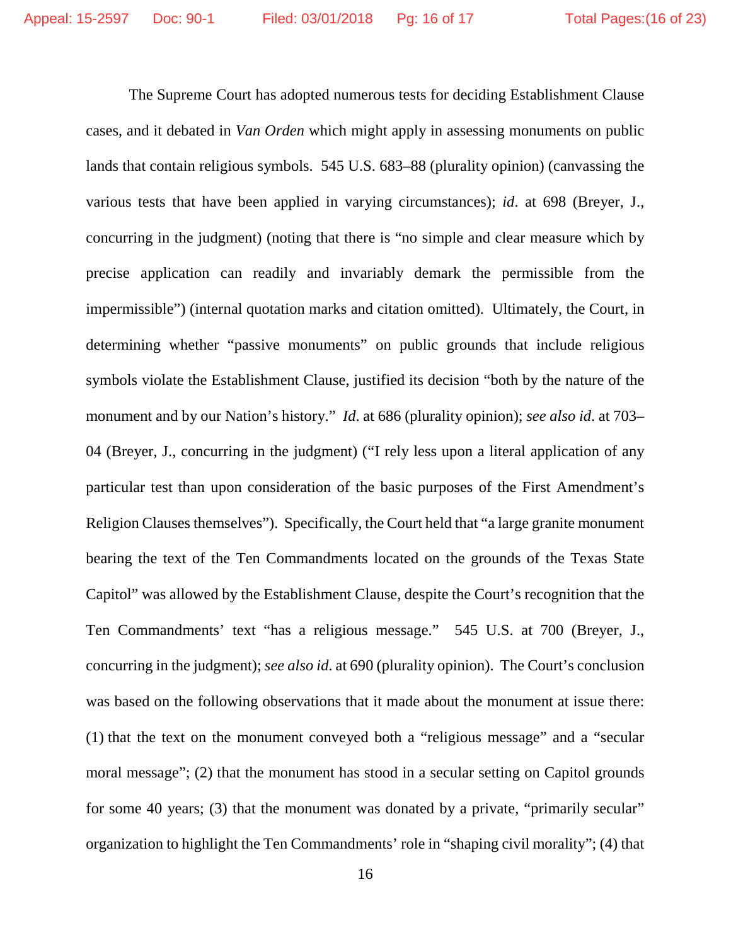The Supreme Court has adopted numerous tests for deciding Establishment Clause cases, and it debated in *Van Orden* which might apply in assessing monuments on public lands that contain religious symbols. 545 U.S. 683–88 (plurality opinion) (canvassing the various tests that have been applied in varying circumstances); *id*. at 698 (Breyer, J., concurring in the judgment) (noting that there is "no simple and clear measure which by precise application can readily and invariably demark the permissible from the impermissible") (internal quotation marks and citation omitted). Ultimately, the Court, in determining whether "passive monuments" on public grounds that include religious symbols violate the Establishment Clause, justified its decision "both by the nature of the monument and by our Nation's history." *Id*. at 686 (plurality opinion); *see also id*. at 703– 04 (Breyer, J., concurring in the judgment) ("I rely less upon a literal application of any particular test than upon consideration of the basic purposes of the First Amendment's Religion Clauses themselves"). Specifically, the Court held that "a large granite monument bearing the text of the Ten Commandments located on the grounds of the Texas State Capitol" was allowed by the Establishment Clause, despite the Court's recognition that the Ten Commandments' text "has a religious message." 545 U.S. at 700 (Breyer, J., concurring in the judgment); *see also id*. at 690 (plurality opinion). The Court's conclusion was based on the following observations that it made about the monument at issue there: (1) that the text on the monument conveyed both a "religious message" and a "secular moral message"; (2) that the monument has stood in a secular setting on Capitol grounds for some 40 years; (3) that the monument was donated by a private, "primarily secular" organization to highlight the Ten Commandments' role in "shaping civil morality"; (4) that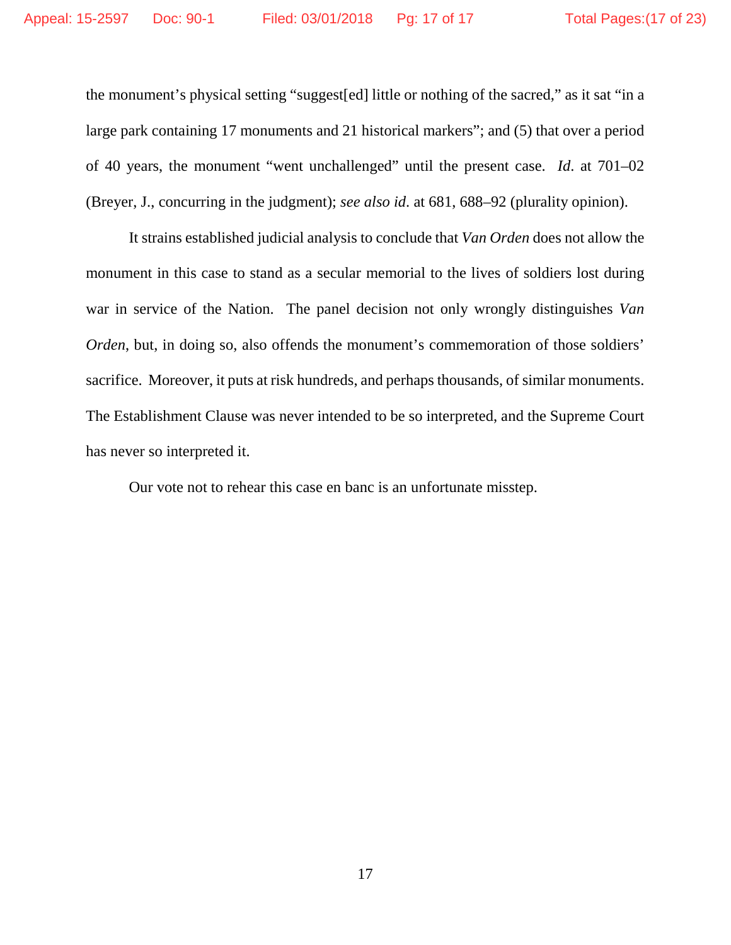the monument's physical setting "suggest[ed] little or nothing of the sacred," as it sat "in a large park containing 17 monuments and 21 historical markers"; and (5) that over a period of 40 years, the monument "went unchallenged" until the present case. *Id*. at 701–02 (Breyer, J., concurring in the judgment); *see also id*. at 681, 688–92 (plurality opinion).

It strains established judicial analysis to conclude that *Van Orden* does not allow the monument in this case to stand as a secular memorial to the lives of soldiers lost during war in service of the Nation. The panel decision not only wrongly distinguishes *Van Orden*, but, in doing so, also offends the monument's commemoration of those soldiers' sacrifice. Moreover, it puts at risk hundreds, and perhaps thousands, of similar monuments. The Establishment Clause was never intended to be so interpreted, and the Supreme Court has never so interpreted it.

Our vote not to rehear this case en banc is an unfortunate misstep.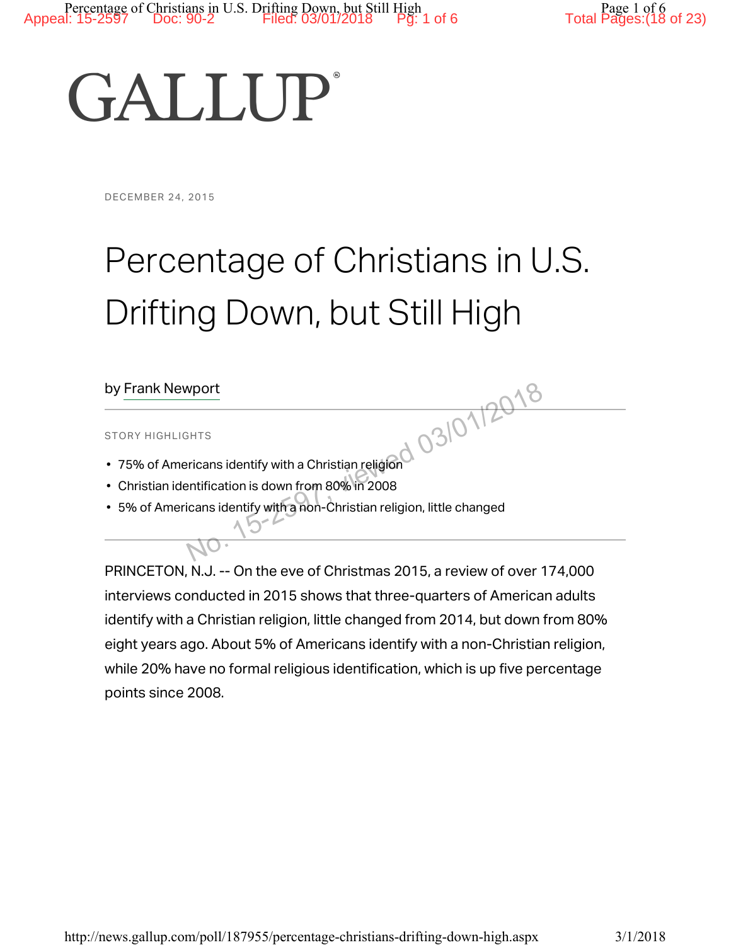# **GALLUP**

#### DECEMBER 24, 2015

# Percentage of Christians in U.S. Drifting Down, but Still High

# by Frank Newport

#### STORY HIGHLIGHTS

- 75% of Americans identify with a Christian religion
- Christian identification is down from 80% in 2008
- 5% of Americans identify with a non-Christian religion, little changed SHTS<br>
SHTS<br>
ricans identify with a Christian religion<br>
intification is down from 80% in 2008<br>
icans identify with a non-Christian religion, little changed

PRINCETON, N.J. -- On the eve of Christmas 2015, a review of over 174,000 interviews conducted in 2015 shows that three-quarters of American adults identify with a Christian religion, little changed from 2014, but down from 80% eight years ago. About 5% of Americans identify with a non-Christian religion, while 20% have no formal religious identification, which is up five percentage points since 2008.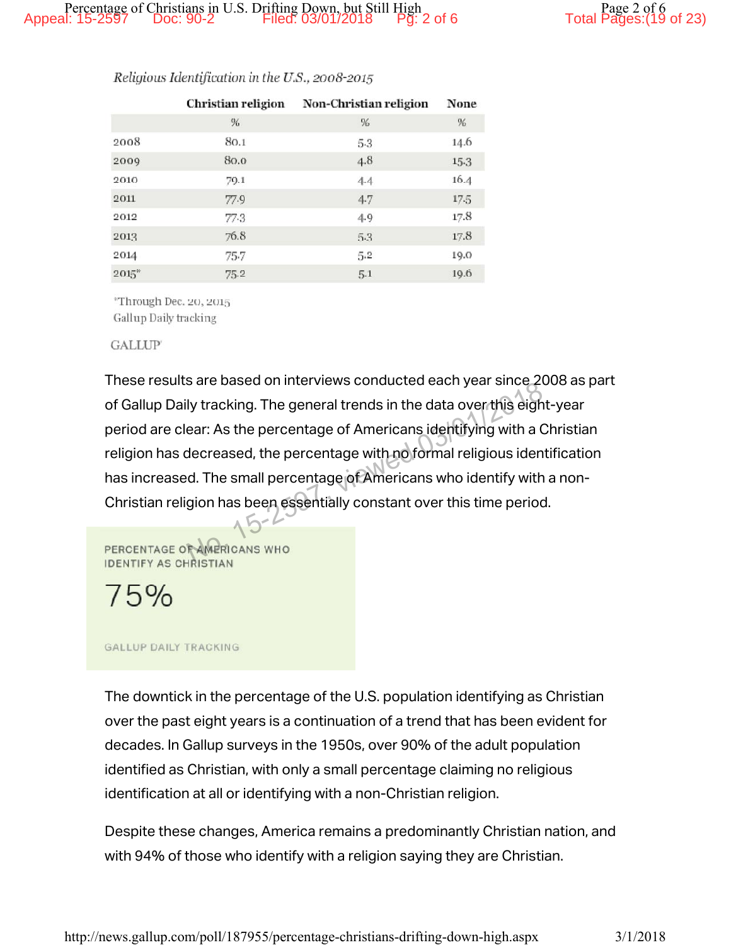|       | Christian religion | Non-Christian religion | None |
|-------|--------------------|------------------------|------|
|       | %                  | %                      | %    |
| 2008  | 80.1               | 5.3                    | 14.6 |
| 2009  | 80.0               | 4.8                    | 15.3 |
| 2010  | 79.1               | 4.4                    | 16.4 |
| 2011  | 77.9               | 4.7                    | 17.5 |
| 2012  | 77.3               | 4.9                    | 17.8 |
| 2013  | 76.8               | 5.3                    | 17.8 |
| 2014  | 75.7               | 5.2                    | 19.0 |
| 2015" | 75.2               | 5.1                    | 19.6 |

#### Religious Identification in the U.S., 2008-2015

"Through Dec. 20, 2015 Gallup Daily tracking

#### **GALLIP**

These results are based on interviews conducted each year since 2008 as part of Gallup Daily tracking. The general trends in the data over this eight-year period are clear: As the percentage of Americans identifying with a Christian religion has decreased, the percentage with no formal religious identification has increased. The small percentage of Americans who identify with a non-Christian religion has been essentially constant over this time period. Iy tracking. The general trends in the data over this eight<br>ear: As the percentage of Americans identifying with a C<br>decreased, the percentage with no formal religious ident<br>d. The small percentage of Americans who identif

75%

#### **GALLUP DAILY TRACKING**

The downtick in the percentage of the U.S. population identifying as Christian over the past eight years is a continuation of a trend that has been evident for decades. In Gallup surveys in the 1950s, over 90% of the adult population identified as Christian, with only a small percentage claiming no religious identification at all or identifying with a non-Christian religion.

Despite these changes, America remains a predominantly Christian nation, and with 94% of those who identify with a religion saying they are Christian.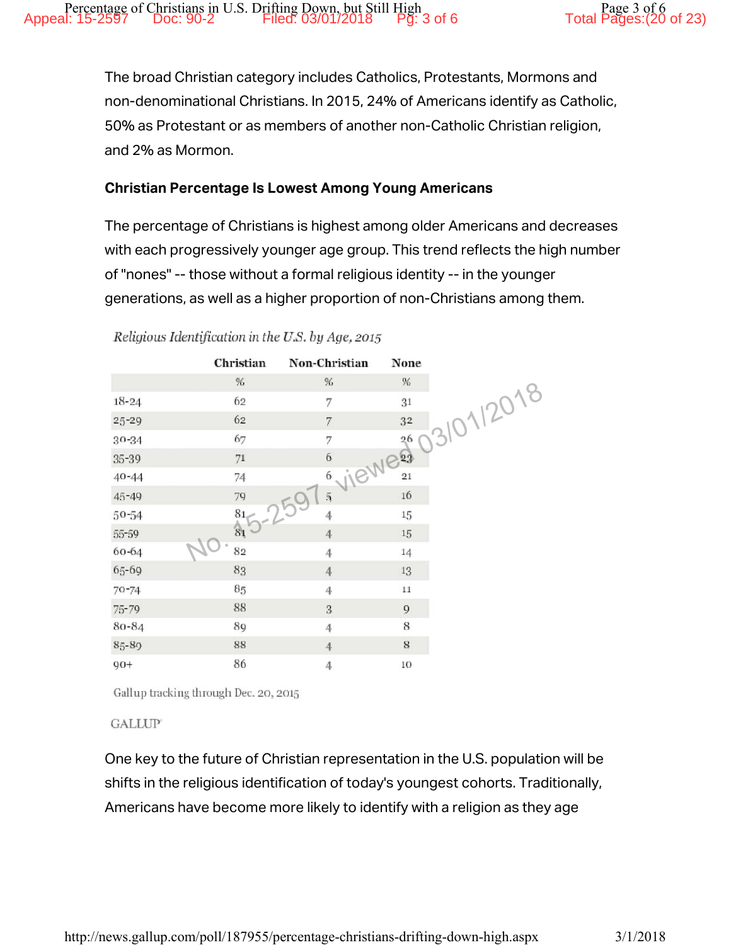The broad Christian category includes Catholics, Protestants, Mormons and non-denominational Christians. In 2015, 24% of Americans identify as Catholic, 50% as Protestant or as members of another non-Catholic Christian religion, and 2% as Mormon.

# Christian Percentage Is Lowest Among Young Americans

The percentage of Christians is highest among older Americans and decreases with each progressively younger age group. This trend reflects the high number of "nones" -- those without a formal religious identity -- in the younger generations, as well as a higher proportion of non-Christians among them.

|           | Christian | Non-Christian           | None            |
|-----------|-----------|-------------------------|-----------------|
|           | $\%$      | %                       | $\%$            |
| $18 - 24$ | 62        | 7                       | 31              |
| 25-29     | 62        | 7                       | 3/01/2018<br>32 |
| $30 - 34$ | 67        | 7                       | 26              |
| 35-39     | 71        | VIEWES<br>6             |                 |
| $40 - 44$ | 74        | 6                       |                 |
| $45 - 49$ | 79        | $\overline{5}$          | $16$            |
| 50-54     | 81        | 259<br>4                | 15              |
| 55-59     | $81$      | $\overline{4}$          | 15              |
| 60-64     | 82        | 4                       | 14              |
| 65-69     | 83        | $\overline{4}$          | $13\,$          |
| $70 - 74$ | 85        | $\overline{4}$          | $11\,$          |
| 75-79     | 88        | $\overline{\mathbf{3}}$ | $\overline{9}$  |
| 80-84     | 89        | $\overline{4}$          | 8               |
| 85-89     | 88        | $\overline{4}$          | $\bf 8$         |
| $90+$     | 86        | $\overline{4}$          | 10              |

Religious Identification in the U.S. by Age, 2015

Gallup tracking through Dec. 20, 2015

**GALLUP** 

One key to the future of Christian representation in the U.S. population will be shifts in the religious identification of today's youngest cohorts. Traditionally, Americans have become more likely to identify with a religion as they age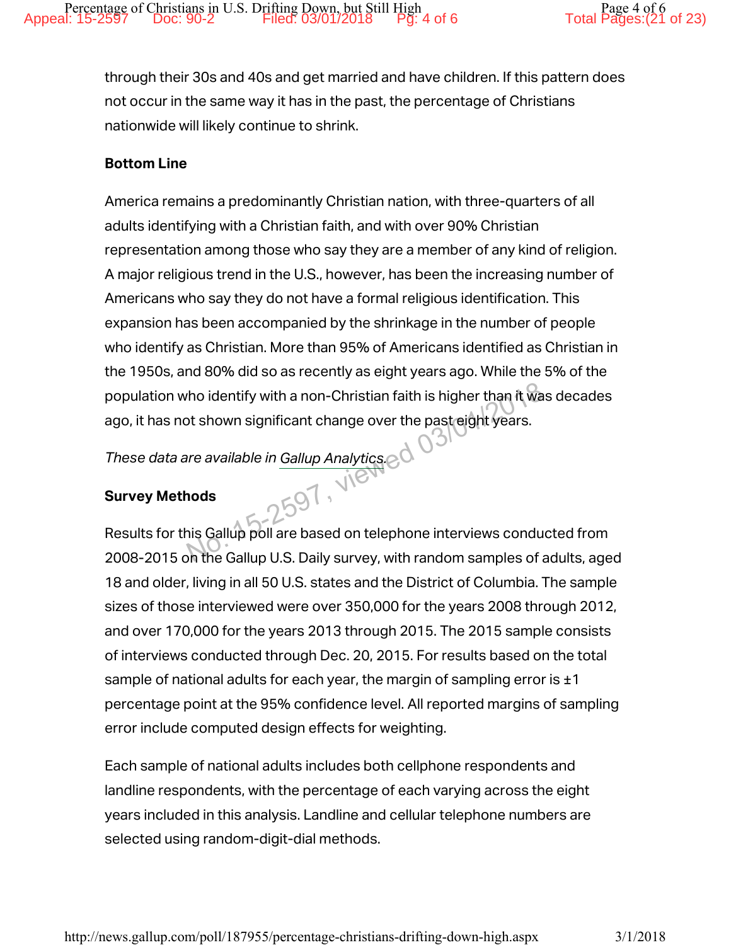through their 30s and 40s and get married and have children. If this pattern does not occur in the same way it has in the past, the percentage of Christians nationwide will likely continue to shrink.

# Bottom Line

America remains a predominantly Christian nation, with three-quarters of all adults identifying with a Christian faith, and with over 90% Christian representation among those who say they are a member of any kind of religion. A major religious trend in the U.S., however, has been the increasing number of Americans who say they do not have a formal religious identification. This expansion has been accompanied by the shrinkage in the number of people who identify as Christian. More than 95% of Americans identified as Christian in the 1950s, and 80% did so as recently as eight years ago. While the 5% of the population who identify with a non-Christian faith is higher than it was decades ago, it has not shown significant change over the past eight years. who identify with a non-Christian faith is higher than it was<br>ot shown significant change over the past eight years.<br>or available in Gallup Analytics.<br>and the scaling poll are based on telephone interviews conduced<br>on the

*These data are available in Gallup Analytics.*

# Survey Methods

Results for this Gallup poll are based on telephone interviews conducted from 2008-2015 on the Gallup U.S. Daily survey, with random samples of adults, aged 18 and older, living in all 50 U.S. states and the District of Columbia. The sample sizes of those interviewed were over 350,000 for the years 2008 through 2012, and over 170,000 for the years 2013 through 2015. The 2015 sample consists of interviews conducted through Dec. 20, 2015. For results based on the total sample of national adults for each year, the margin of sampling error is  $\pm 1$ percentage point at the 95% confidence level. All reported margins of sampling error include computed design effects for weighting.

Each sample of national adults includes both cellphone respondents and landline respondents, with the percentage of each varying across the eight years included in this analysis. Landline and cellular telephone numbers are selected using random-digit-dial methods.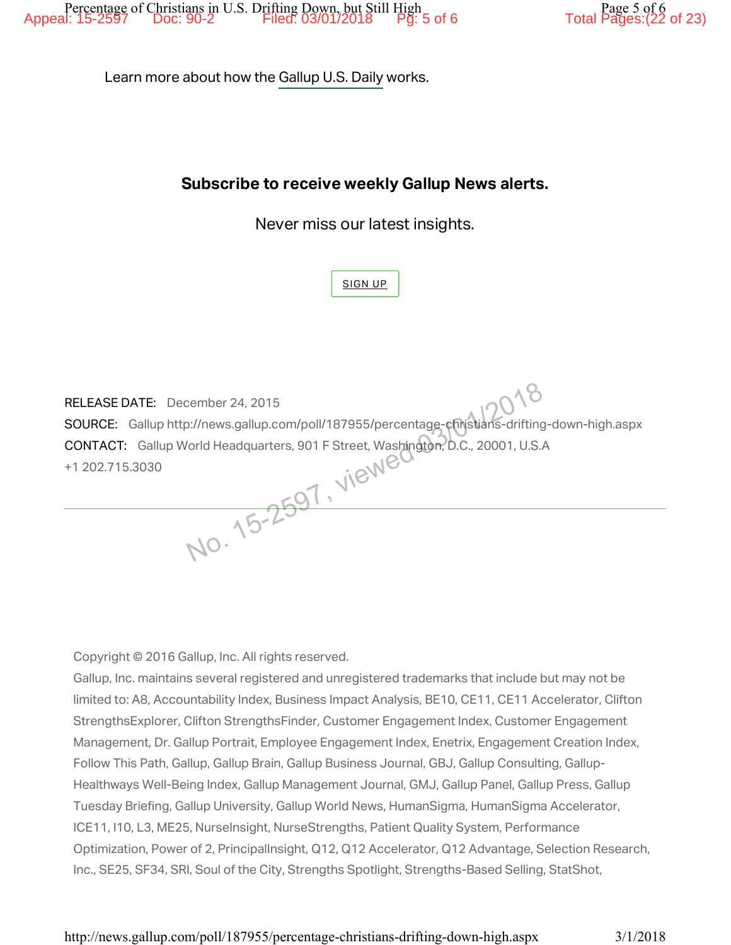Learn more about how the Gallup U.S. Daily works.

# Subscribe to receive weekly Gallup News alerts.

Never miss our latest insights.

SIGN UP

RELEASE DATE: December 24, 2015 SOURCE: Gallup http://news.gallup.com/poll/187955/percentage-christians-drifting-down-high.aspx CONTACT: Gallup World Headquarters, 901 F Street, Washington, D.C., 20001, U.S.A +1 202.715.3030 Eember 24, 2015<br>
S://news.gallup.com/poll/187955/percentage-christians-drifting<br>
Yorld Headquarters, 901 F Street, Washington, D.C., 20001, U.S.A

Copyright © 2016 Gallup, Inc. All rights reserved.

Gallup, Inc. maintains several registered and unregistered trademarks that include but may not be limited to: A8, Accountability Index, Business Impact Analysis, BE10, CE11, CE11 Accelerator, Clifton StrengthsExplorer, Clifton StrengthsFinder, Customer Engagement Index, Customer Engagement Management, Dr. Gallup Portrait, Employee Engagement Index, Enetrix, Engagement Creation Index, Follow This Path, Gallup, Gallup Brain, Gallup Business Journal, GBJ, Gallup Consulting, Gallup-Healthways Well-Being Index, Gallup Management Journal, GMJ, Gallup Panel, Gallup Press, Gallup Tuesday Briefing, Gallup University, Gallup World News, HumanSigma, HumanSigma Accelerator, ICE11, I10, L3, ME25, NurseInsight, NurseStrengths, Patient Quality System, Performance Optimization, Power of 2, PrincipalInsight, Q12, Q12 Accelerator, Q12 Advantage, Selection Research, Inc., SE25, SF34, SRI, Soul of the City, Strengths Spotlight, Strengths-Based Selling, StatShot,